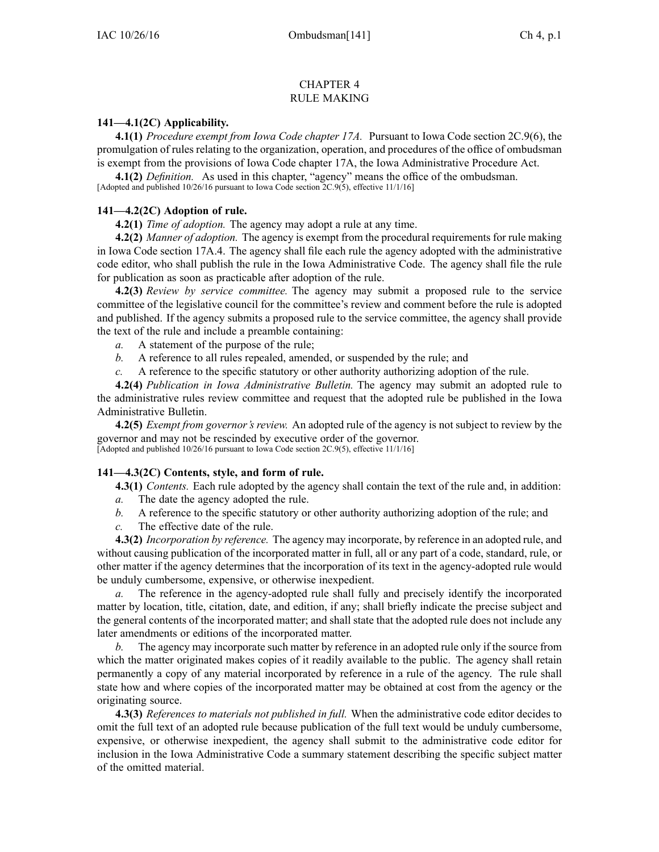## CHAPTER 4 RULE MAKING

## **141—4.1(2C) Applicability.**

**4.1(1)** *Procedure exemp<sup>t</sup> from Iowa Code chapter [17A](https://www.legis.iowa.gov/docs/ico/chapter/17A.pdf).* Pursuant to Iowa Code section [2C.9\(6\)](https://www.legis.iowa.gov/docs/ico/section/2C.9.pdf), the promulgation of rules relating to the organization, operation, and procedures of the office of ombudsman is exemp<sup>t</sup> from the provisions of Iowa Code chapter [17A](https://www.legis.iowa.gov/docs/ico/chapter/17A.pdf), the Iowa Administrative Procedure Act.

**4.1(2)** *Definition.* As used in this chapter, "agency" means the office of the ombudsman.

[Adopted and published 10/26/16 pursuan<sup>t</sup> to Iowa Code section 2C.9(5), effective 11/1/16]

## **141—4.2(2C) Adoption of rule.**

**4.2(1)** *Time of adoption.* The agency may adopt <sup>a</sup> rule at any time.

**4.2(2)** *Manner of adoption.* The agency is exemp<sup>t</sup> from the procedural requirements for rule making in Iowa Code section [17A.4](https://www.legis.iowa.gov/docs/ico/section/17A.4.pdf). The agency shall file each rule the agency adopted with the administrative code editor, who shall publish the rule in the Iowa Administrative Code. The agency shall file the rule for publication as soon as practicable after adoption of the rule.

**4.2(3)** *Review by service committee.* The agency may submit <sup>a</sup> proposed rule to the service committee of the legislative council for the committee's review and comment before the rule is adopted and published. If the agency submits <sup>a</sup> proposed rule to the service committee, the agency shall provide the text of the rule and include <sup>a</sup> preamble containing:

*a.* A statement of the purpose of the rule;

- *b.* A reference to all rules repealed, amended, or suspended by the rule; and
- *c.* A reference to the specific statutory or other authority authorizing adoption of the rule.

**4.2(4)** *Publication in Iowa Administrative Bulletin.* The agency may submit an adopted rule to the administrative rules review committee and reques<sup>t</sup> that the adopted rule be published in the Iowa Administrative Bulletin.

**4.2(5)** *Exempt from governor's review.* An adopted rule of the agency is not subject to review by the governor and may not be rescinded by executive order of the governor. [Adopted and published 10/26/16 pursuan<sup>t</sup> to Iowa Code section 2C.9(5), effective 11/1/16]

## **141—4.3(2C) Contents, style, and form of rule.**

**4.3(1)** *Contents.* Each rule adopted by the agency shall contain the text of the rule and, in addition:

- *a.* The date the agency adopted the rule.
- *b.* A reference to the specific statutory or other authority authorizing adoption of the rule; and
- *c.* The effective date of the rule.

**4.3(2)** *Incorporation by reference.* The agency may incorporate, by reference in an adopted rule, and without causing publication of the incorporated matter in full, all or any par<sup>t</sup> of <sup>a</sup> code, standard, rule, or other matter if the agency determines that the incorporation of its text in the agency-adopted rule would be unduly cumbersome, expensive, or otherwise inexpedient.

*a.* The reference in the agency-adopted rule shall fully and precisely identify the incorporated matter by location, title, citation, date, and edition, if any; shall briefly indicate the precise subject and the general contents of the incorporated matter; and shall state that the adopted rule does not include any later amendments or editions of the incorporated matter.

*b.* The agency may incorporate such matter by reference in an adopted rule only if the source from which the matter originated makes copies of it readily available to the public. The agency shall retain permanently <sup>a</sup> copy of any material incorporated by reference in <sup>a</sup> rule of the agency. The rule shall state how and where copies of the incorporated matter may be obtained at cost from the agency or the originating source.

**4.3(3)** *References to materials not published in full.* When the administrative code editor decides to omit the full text of an adopted rule because publication of the full text would be unduly cumbersome, expensive, or otherwise inexpedient, the agency shall submit to the administrative code editor for inclusion in the Iowa Administrative Code <sup>a</sup> summary statement describing the specific subject matter of the omitted material.